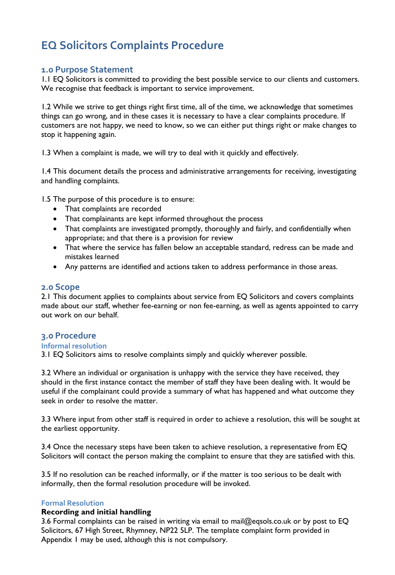# **EQ Solicitors Complaints Procedure**

## **1.0 Purpose Statement**

1.1 EQ Solicitors is committed to providing the best possible service to our clients and customers. We recognise that feedback is important to service improvement.

1.2 While we strive to get things right first time, all of the time, we acknowledge that sometimes things can go wrong, and in these cases it is necessary to have a clear complaints procedure. If customers are not happy, we need to know, so we can either put things right or make changes to stop it happening again.

1.3 When a complaint is made, we will try to deal with it quickly and effectively.

1.4 This document details the process and administrative arrangements for receiving, investigating and handling complaints.

1.5 The purpose of this procedure is to ensure:

- That complaints are recorded
- That complainants are kept informed throughout the process
- That complaints are investigated promptly, thoroughly and fairly, and confidentially when appropriate; and that there is a provision for review
- That where the service has fallen below an acceptable standard, redress can be made and mistakes learned
- Any patterns are identified and actions taken to address performance in those areas.

#### **2.0 Scope**

2.1 This document applies to complaints about service from EQ Solicitors and covers complaints made about our staff, whether fee-earning or non fee-earning, as well as agents appointed to carry out work on our behalf.

#### **3.0 Procedure**

#### **Informal resolution**

3.1 EQ Solicitors aims to resolve complaints simply and quickly wherever possible.

3.2 Where an individual or organisation is unhappy with the service they have received, they should in the first instance contact the member of staff they have been dealing with. It would be useful if the complainant could provide a summary of what has happened and what outcome they seek in order to resolve the matter.

3.3 Where input from other staff is required in order to achieve a resolution, this will be sought at the earliest opportunity.

3.4 Once the necessary steps have been taken to achieve resolution, a representative from EQ Solicitors will contact the person making the complaint to ensure that they are satisfied with this.

3.5 If no resolution can be reached informally, or if the matter is too serious to be dealt with informally, then the formal resolution procedure will be invoked.

#### **Formal Resolution**

#### **Recording and initial handling**

3.6 Formal complaints can be raised in writing via email to mail@eqsols.co.uk or by post to EQ Solicitors, 67 High Street, Rhymney, NP22 5LP. The template complaint form provided in Appendix 1 may be used, although this is not compulsory.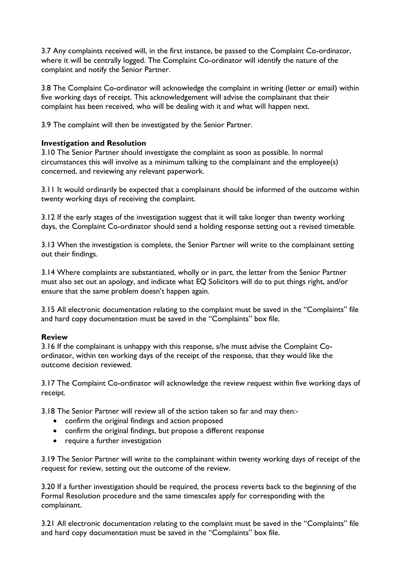3.7 Any complaints received will, in the first instance, be passed to the Complaint Co-ordinator, where it will be centrally logged. The Complaint Co-ordinator will identify the nature of the complaint and notify the Senior Partner.

3.8 The Complaint Co-ordinator will acknowledge the complaint in writing (letter or email) within five working days of receipt. This acknowledgement will advise the complainant that their complaint has been received, who will be dealing with it and what will happen next.

3.9 The complaint will then be investigated by the Senior Partner.

### **Investigation and Resolution**

3.10 The Senior Partner should investigate the complaint as soon as possible. In normal circumstances this will involve as a minimum talking to the complainant and the employee(s) concerned, and reviewing any relevant paperwork.

3.11 It would ordinarily be expected that a complainant should be informed of the outcome within twenty working days of receiving the complaint.

3.12 If the early stages of the investigation suggest that it will take longer than twenty working days, the Complaint Co-ordinator should send a holding response setting out a revised timetable.

3.13 When the investigation is complete, the Senior Partner will write to the complainant setting out their findings.

3.14 Where complaints are substantiated, wholly or in part, the letter from the Senior Partner must also set out an apology, and indicate what EQ Solicitors will do to put things right, and/or ensure that the same problem doesn't happen again.

3.15 All electronic documentation relating to the complaint must be saved in the "Complaints" file and hard copy documentation must be saved in the "Complaints" box file.

#### **Review**

3.16 If the complainant is unhappy with this response, s/he must advise the Complaint Coordinator, within ten working days of the receipt of the response, that they would like the outcome decision reviewed.

3.17 The Complaint Co-ordinator will acknowledge the review request within five working days of receipt.

3.18 The Senior Partner will review all of the action taken so far and may then:-

- confirm the original findings and action proposed
- confirm the original findings, but propose a different response
- require a further investigation

3.19 The Senior Partner will write to the complainant within twenty working days of receipt of the request for review, setting out the outcome of the review.

3.20 If a further investigation should be required, the process reverts back to the beginning of the Formal Resolution procedure and the same timescales apply for corresponding with the complainant.

3.21 All electronic documentation relating to the complaint must be saved in the "Complaints" file and hard copy documentation must be saved in the "Complaints" box file.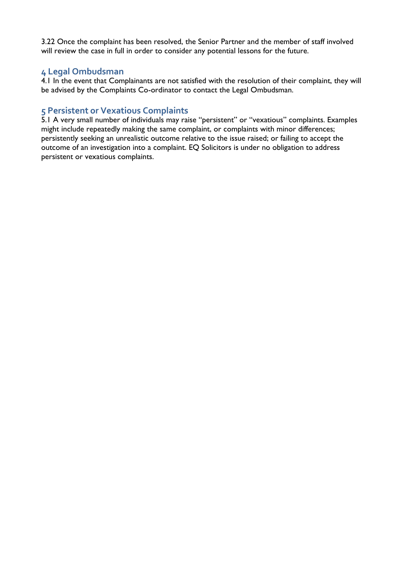3.22 Once the complaint has been resolved, the Senior Partner and the member of staff involved will review the case in full in order to consider any potential lessons for the future.

# **4 Legal Ombudsman**

4.1 In the event that Complainants are not satisfied with the resolution of their complaint, they will be advised by the Complaints Co-ordinator to contact the Legal Ombudsman.

## **5 Persistent or Vexatious Complaints**

5.1 A very small number of individuals may raise "persistent" or "vexatious" complaints. Examples might include repeatedly making the same complaint, or complaints with minor differences; persistently seeking an unrealistic outcome relative to the issue raised; or failing to accept the outcome of an investigation into a complaint. EQ Solicitors is under no obligation to address persistent or vexatious complaints.